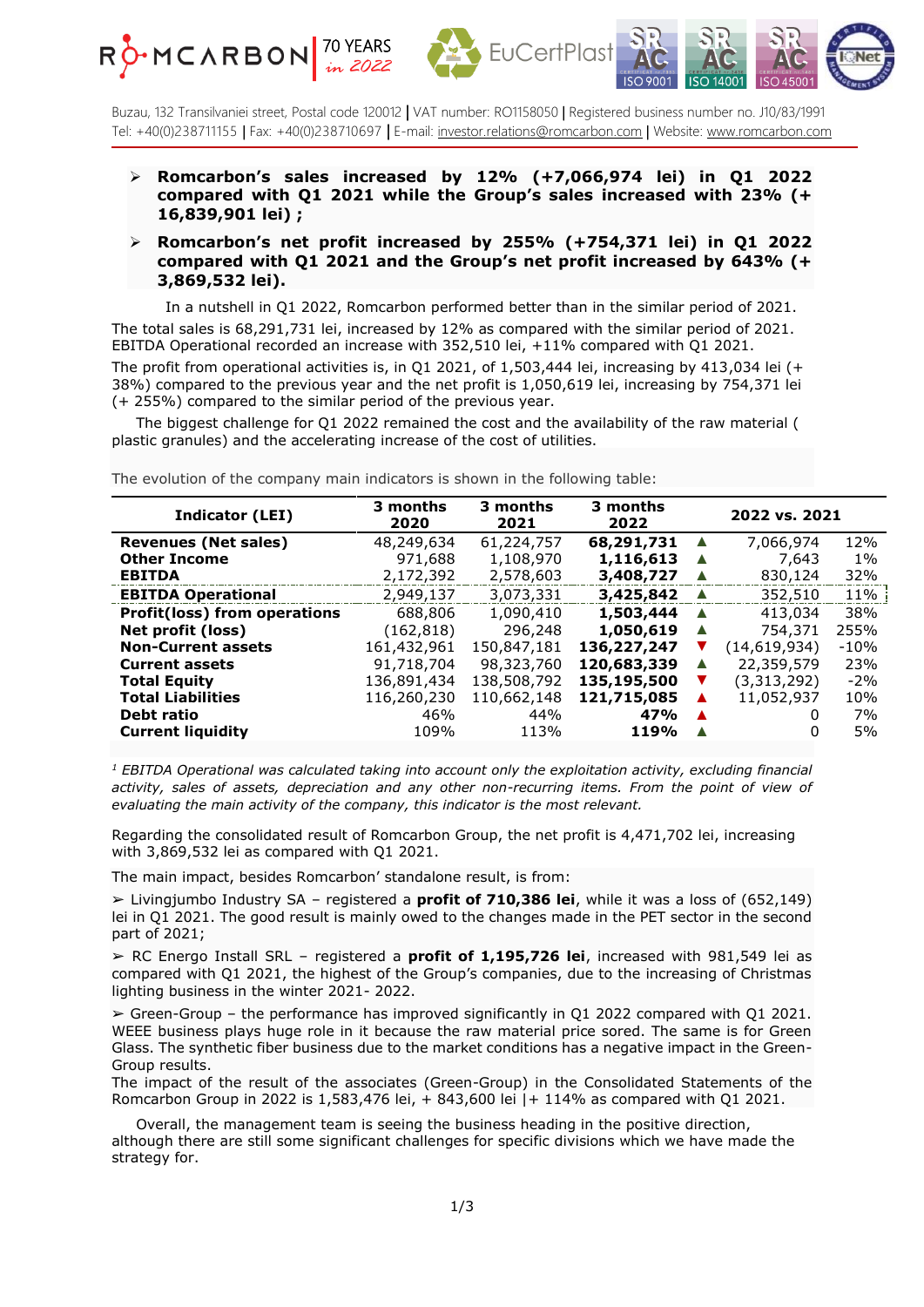





Buzau, 132 Transilvaniei street, Postal code 120012 **|** VAT number: RO1158050 | Registered business number no. J10/83/1991 Tel: +40(0)238711155 | Fax: +40(0)238710697 **|** E-mail: [investor.relations@romcarbon.com](mailto:investor.relations@romcarbon.com) | Website[: www.romcarbon.com](https://www.romcarbon.com/)

- ➢ **Romcarbon's sales increased by 12% (+7,066,974 lei) in Q1 2022 compared with Q1 2021 while the Group's sales increased with 23% (+ 16,839,901 lei) ;**
- ➢ **Romcarbon's net profit increased by 255% (+754,371 lei) in Q1 2022 compared with Q1 2021 and the Group's net profit increased by 643% (+ 3,869,532 lei).**

 In a nutshell in Q1 2022, Romcarbon performed better than in the similar period of 2021. The total sales is 68,291,731 lei, increased by 12% as compared with the similar period of 2021. EBITDA Operational recorded an increase with 352,510 lei, +11% compared with Q1 2021. The profit from operational activities is, in  $Q1 2021$ , of 1,503,444 lei, increasing by 413,034 lei (+ 38%) compared to the previous year and the net profit is 1,050,619 lei, increasing by 754,371 lei (+ 255%) compared to the similar period of the previous year.

 The biggest challenge for Q1 2022 remained the cost and the availability of the raw material ( plastic granules) and the accelerating increase of the cost of utilities.

| <b>Indicator (LEI)</b>              | 3 months<br>2020 | 3 months<br>2021 | 3 months<br>2022 | 2022 vs. 2021 |              |        |
|-------------------------------------|------------------|------------------|------------------|---------------|--------------|--------|
| <b>Revenues (Net sales)</b>         | 48,249,634       | 61,224,757       | 68,291,731       |               | 7,066,974    | 12%    |
| <b>Other Income</b>                 | 971,688          | 1,108,970        | 1,116,613        | ▲             | 7,643        | $1\%$  |
| <b>EBITDA</b>                       | 2,172,392        | 2,578,603        | 3,408,727        | ▲             | 830,124      | 32%    |
| <b>EBITDA Operational</b>           | 2,949,137        | 3,073,331        | 3,425,842        | ▲             | 352,510      | 11%    |
| <b>Profit(loss) from operations</b> | 688,806          | 1,090,410        | 1,503,444        | ▲             | 413,034      | 38%    |
| Net profit (loss)                   | (162, 818)       | 296,248          | 1,050,619        |               | 754,371      | 255%   |
| <b>Non-Current assets</b>           | 161,432,961      | 150,847,181      | 136,227,247      |               | (14,619,934) | $-10%$ |
| <b>Current assets</b>               | 91,718,704       | 98,323,760       | 120,683,339      | ▲             | 22,359,579   | 23%    |
| <b>Total Equity</b>                 | 136,891,434      | 138,508,792      | 135,195,500      |               | (3,313,292)  | $-2%$  |
| <b>Total Liabilities</b>            | 116,260,230      | 110,662,148      | 121,715,085      |               | 11,052,937   | 10%    |
| Debt ratio                          | 46%              | 44%              | 47%              | ▲             | 0            | 7%     |
| <b>Current liquidity</b>            | 109%             | 113%             | 119%             |               | 0            | 5%     |

The evolution of the company main indicators is shown in the following table:

*<sup>1</sup> EBITDA Operational was calculated taking into account only the exploitation activity, excluding financial activity, sales of assets, depreciation and any other non-recurring items. From the point of view of evaluating the main activity of the company, this indicator is the most relevant.*

Regarding the consolidated result of Romcarbon Group, the net profit is 4,471,702 lei, increasing with 3,869,532 lei as compared with Q1 2021.

The main impact, besides Romcarbon' standalone result, is from:

➢ Livingjumbo Industry SA – registered a **profit of 710,386 lei**, while it was a loss of (652,149) lei in Q1 2021. The good result is mainly owed to the changes made in the PET sector in the second part of 2021;

➢ RC Energo Install SRL – registered a **profit of 1,195,726 lei**, increased with 981,549 lei as compared with Q1 2021, the highest of the Group's companies, due to the increasing of Christmas lighting business in the winter 2021- 2022.

 $\geq$  Green-Group – the performance has improved significantly in Q1 2022 compared with Q1 2021. WEEE business plays huge role in it because the raw material price sored. The same is for Green Glass. The synthetic fiber business due to the market conditions has a negative impact in the Green-Group results.

The impact of the result of the associates (Green-Group) in the Consolidated Statements of the Romcarbon Group in 2022 is 1,583,476 lei, + 843,600 lei |+ 114% as compared with Q1 2021.

 Overall, the management team is seeing the business heading in the positive direction, although there are still some significant challenges for specific divisions which we have made the strategy for.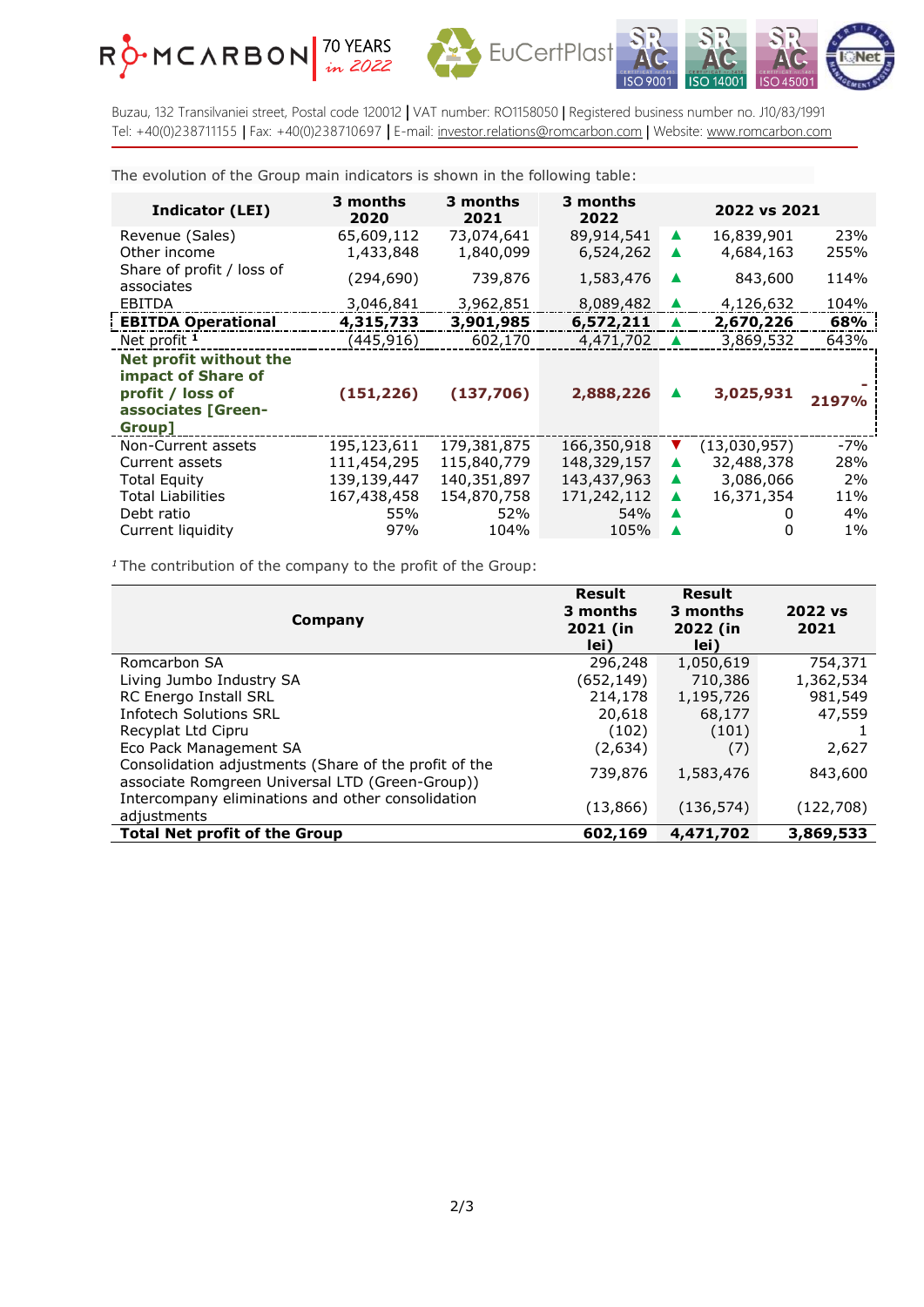





Buzau, 132 Transilvaniei street, Postal code 120012 **|** VAT number: RO1158050 | Registered business number no. J10/83/1991 Tel: +40(0)238711155 | Fax: +40(0)238710697 **|** E-mail: [investor.relations@romcarbon.com](mailto:investor.relations@romcarbon.com) | Website[: www.romcarbon.com](https://www.romcarbon.com/)

The evolution of the Group main indicators is shown in the following table:

| <b>Indicator (LEI)</b>                                                                           | 3 months<br>2020        | 3 months<br>2021        | 3 months<br>2022        |                  | 2022 vs 2021            |             |
|--------------------------------------------------------------------------------------------------|-------------------------|-------------------------|-------------------------|------------------|-------------------------|-------------|
| Revenue (Sales)<br>Other income                                                                  | 65,609,112<br>1,433,848 | 73,074,641<br>1,840,099 | 89,914,541<br>6,524,262 | ▲                | 16,839,901<br>4,684,163 | 23%<br>255% |
| Share of profit / loss of<br>associates                                                          | (294, 690)              | 739,876                 | 1,583,476               |                  | 843,600                 | 114%        |
| EBITDA                                                                                           | 3,046,841               | 3,962,851               | 8,089,482               |                  | 4,126,632               | 104%        |
| <b>EBITDA Operational</b>                                                                        | 4,315,733               | 3,901,985               | 6,572,211               |                  | 2,670,226               | 68%         |
| Net profit <sup>1</sup>                                                                          | (445,916)               | 602,170                 | 4,471,702               |                  | 3,869,532               | 643%        |
| Net profit without the<br>impact of Share of<br>profit / loss of<br>associates [Green-<br>Group] | (151, 226)              | (137,706)               | 2,888,226               |                  | 3,025,931               | 2197%       |
| Non-Current assets                                                                               | 195,123,611             | 179,381,875             | 166,350,918             |                  | (13,030,957)            | $-7%$       |
| Current assets                                                                                   | 111,454,295             | 115,840,779             | 148,329,157             | ▲                | 32,488,378              | 28%         |
| <b>Total Equity</b>                                                                              | 139,139,447             | 140,351,897             | 143,437,963             | $\blacktriangle$ | 3,086,066               | 2%          |
| <b>Total Liabilities</b>                                                                         | 167,438,458             | 154,870,758             | 171,242,112             | ▲                | 16,371,354              | 11%         |
| Debt ratio                                                                                       | 55%                     | 52%                     | 54%                     |                  |                         | 4%          |
| Current liquidity                                                                                | 97%                     | 104%                    | 105%                    |                  | 0                       | $1\%$       |

*<sup>1</sup>* The contribution of the company to the profit of the Group:

| Company                                                                                                  | Result<br>3 months<br>2021 (in<br>lei) | <b>Result</b><br>3 months<br>2022 (in<br>lei) | 2022 vs<br>2021 |
|----------------------------------------------------------------------------------------------------------|----------------------------------------|-----------------------------------------------|-----------------|
| Romcarbon SA                                                                                             | 296,248                                | 1,050,619                                     | 754,371         |
| Living Jumbo Industry SA                                                                                 | (652,149)                              | 710,386                                       | 1,362,534       |
| RC Energo Install SRL                                                                                    | 214,178                                | 1,195,726                                     | 981,549         |
| <b>Infotech Solutions SRL</b>                                                                            | 20,618                                 | 68,177                                        | 47,559          |
| Recyplat Ltd Cipru                                                                                       | (102)                                  | (101)                                         |                 |
| Eco Pack Management SA                                                                                   | (2,634)                                | (7)                                           | 2,627           |
| Consolidation adjustments (Share of the profit of the<br>associate Romgreen Universal LTD (Green-Group)) | 739,876                                | 1,583,476                                     | 843,600         |
| Intercompany eliminations and other consolidation<br>adjustments                                         | (13, 866)                              | (136, 574)                                    | (122, 708)      |
| <b>Total Net profit of the Group</b>                                                                     | 602,169                                | 4,471,702                                     | 3,869,533       |